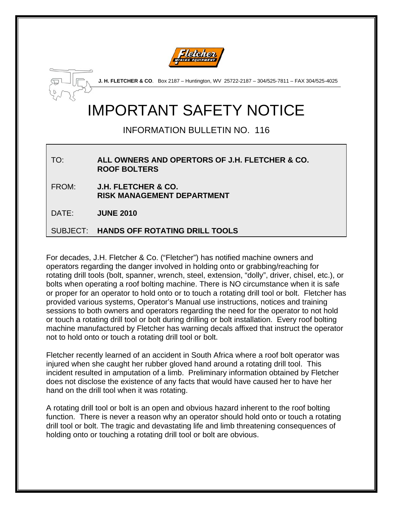



**J. H. FLETCHER & CO**. Box 2187 – Huntington, WV 25722-2187 – 304/525-7811 – FAX 304/525-4025

## IMPORTANT SAFETY NOTICE

## INFORMATION BULLETIN NO. 116

TO: **ALL OWNERS AND OPERTORS OF J.H. FLETCHER & CO. ROOF BOLTERS** 

FROM: **J.H. FLETCHER & CO. RISK MANAGEMENT DEPARTMENT** 

DATE: **JUNE 2010**

SUBJECT: **HANDS OFF ROTATING DRILL TOOLS**

For decades, J.H. Fletcher & Co. ("Fletcher") has notified machine owners and operators regarding the danger involved in holding onto or grabbing/reaching for rotating drill tools (bolt, spanner, wrench, steel, extension, "dolly", driver, chisel, etc.), or bolts when operating a roof bolting machine. There is NO circumstance when it is safe or proper for an operator to hold onto or to touch a rotating drill tool or bolt. Fletcher has provided various systems, Operator's Manual use instructions, notices and training sessions to both owners and operators regarding the need for the operator to not hold or touch a rotating drill tool or bolt during drilling or bolt installation. Every roof bolting machine manufactured by Fletcher has warning decals affixed that instruct the operator not to hold onto or touch a rotating drill tool or bolt.

Fletcher recently learned of an accident in South Africa where a roof bolt operator was injured when she caught her rubber gloved hand around a rotating drill tool. This incident resulted in amputation of a limb. Preliminary information obtained by Fletcher does not disclose the existence of any facts that would have caused her to have her hand on the drill tool when it was rotating.

A rotating drill tool or bolt is an open and obvious hazard inherent to the roof bolting function. There is never a reason why an operator should hold onto or touch a rotating drill tool or bolt. The tragic and devastating life and limb threatening consequences of holding onto or touching a rotating drill tool or bolt are obvious.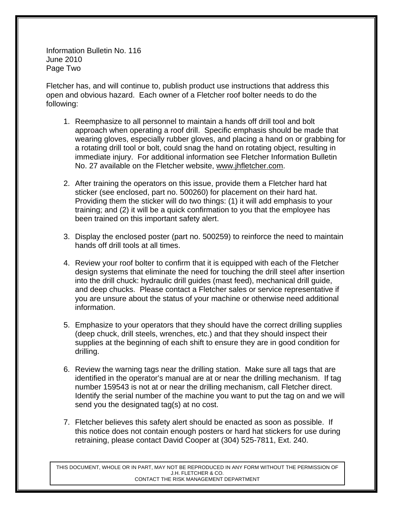Information Bulletin No. 116 June 2010 Page Two

Fletcher has, and will continue to, publish product use instructions that address this open and obvious hazard. Each owner of a Fletcher roof bolter needs to do the following:

- 1. Reemphasize to all personnel to maintain a hands off drill tool and bolt approach when operating a roof drill. Specific emphasis should be made that wearing gloves, especially rubber gloves, and placing a hand on or grabbing for a rotating drill tool or bolt, could snag the hand on rotating object, resulting in immediate injury. For additional information see Fletcher Information Bulletin No. 27 available on the Fletcher website, www.jhfletcher.com.
- 2. After training the operators on this issue, provide them a Fletcher hard hat sticker (see enclosed, part no. 500260) for placement on their hard hat. Providing them the sticker will do two things: (1) it will add emphasis to your training; and (2) it will be a quick confirmation to you that the employee has been trained on this important safety alert.
- 3. Display the enclosed poster (part no. 500259) to reinforce the need to maintain hands off drill tools at all times.
- 4. Review your roof bolter to confirm that it is equipped with each of the Fletcher design systems that eliminate the need for touching the drill steel after insertion into the drill chuck: hydraulic drill guides (mast feed), mechanical drill guide, and deep chucks. Please contact a Fletcher sales or service representative if you are unsure about the status of your machine or otherwise need additional information.
- 5. Emphasize to your operators that they should have the correct drilling supplies (deep chuck, drill steels, wrenches, etc.) and that they should inspect their supplies at the beginning of each shift to ensure they are in good condition for drilling.
- 6. Review the warning tags near the drilling station. Make sure all tags that are identified in the operator's manual are at or near the drilling mechanism. If tag number 159543 is not at or near the drilling mechanism, call Fletcher direct. Identify the serial number of the machine you want to put the tag on and we will send you the designated tag(s) at no cost.
- 7. Fletcher believes this safety alert should be enacted as soon as possible. If this notice does not contain enough posters or hard hat stickers for use during retraining, please contact David Cooper at (304) 525-7811, Ext. 240.

THIS DOCUMENT, WHOLE OR IN PART, MAY NOT BE REPRODUCED IN ANY FORM WITHOUT THE PERMISSION OF J.H. FLETCHER & CO. CONTACT THE RISK MANAGEMENT DEPARTMENT